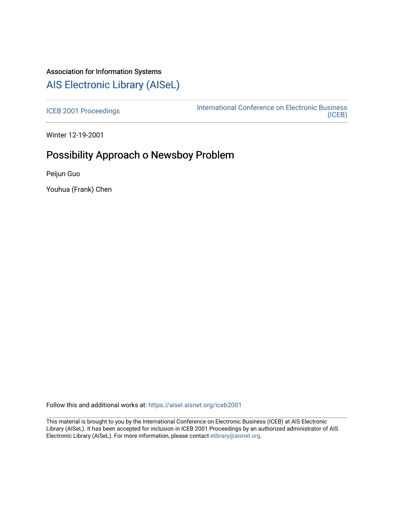# Association for Information Systems

## [AIS Electronic Library \(AISeL\)](https://aisel.aisnet.org/)

[ICEB 2001 Proceedings](https://aisel.aisnet.org/iceb2001) **International Conference on Electronic Business** [\(ICEB\)](https://aisel.aisnet.org/iceb) 

Winter 12-19-2001

# Possibility Approach o Newsboy Problem

Peijun Guo

Youhua (Frank) Chen

Follow this and additional works at: [https://aisel.aisnet.org/iceb2001](https://aisel.aisnet.org/iceb2001?utm_source=aisel.aisnet.org%2Ficeb2001%2F125&utm_medium=PDF&utm_campaign=PDFCoverPages)

This material is brought to you by the International Conference on Electronic Business (ICEB) at AIS Electronic Library (AISeL). It has been accepted for inclusion in ICEB 2001 Proceedings by an authorized administrator of AIS Electronic Library (AISeL). For more information, please contact [elibrary@aisnet.org.](mailto:elibrary@aisnet.org%3E)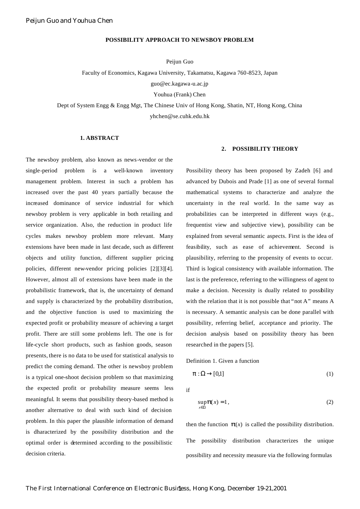### **POSSIBILITY APPROACH TO NEWSBOY PROBLEM**

Peijun Guo

Faculty of Economics, Kagawa University, Takamatsu, Kagawa 760-8523, Japan

guo@ec.kagawa-u.ac.jp

Youhua (Frank) Chen

Dept of System Engg & Engg Mgt, The Chinese Univ of Hong Kong, Shatin, NT, Hong Kong, China

yhchen@se.cuhk.edu.hk

### **1. ABSTRACT**

The newsboy problem, also known as news-vendor or the single-period problem is a well-known inventory management problem. Interest in such a problem has increased over the past 40 years partially because the increased dominance of service industrial for which newsboy problem is very applicable in both retailing and service organization. Also, the reduction in product life cycles makes newsboy problem more relevant. Many extensions have been made in last decade, such as different objects and utility function, different supplier pricing policies, different new-vendor pricing policies [2][3][4]. However, almost all of extensions have been made in the probabilistic framework, that is, the uncertainty of demand and supply is characterized by the probability distribution, and the objective function is used to maximizing the expected profit or probability measure of achieving a target profit. There are still some problems left. The one is for life-cycle short products, such as fashion goods, season presents, there is no data to be used for statistical analysis to predict the coming demand. The other is newsboy problem is a typical one-shoot decision problem so that maximizing the expected profit or probability measure seems less meaningful. It seems that possibility theory-based method is another alternative to deal with such kind of decision problem. In this paper the plausible information of demand is dharacterized by the possibility distribution and the optimal order is determined according to the possibilistic decision criteria.

### **2. POSSIBILITY THEORY**

Possibility theory has been proposed by Zadeh [6] and advanced by Dubois and Prade [1] as one of several formal mathematical systems to characterize and analyze the uncertainty in the real world. In the same way as probabilities can be interpreted in different ways (e.g., frequentist view and subjective view), possibility can be explained from several semantic aspects. First is the idea of feasibility, such as ease of achievement. Second is plausibility, referring to the propensity of events to occur. Third is logical consistency with available information. The last is the preference, referring to the willingness of agent to make a decision. Necessity is dually related to possibility with the relation that it is not possible that "not A" means A is necessary. A semantic analysis can be done parallel with possibility, referring belief, acceptance and priority. The decision analysis based on possibility theory has been researched in the papers [5].

Definition 1. Given a function

$$
\boldsymbol{p}:\Omega\to[0,1] \tag{1}
$$

if

$$
\sup_{x \in \Omega} p(x) = 1, \tag{2}
$$

then the function  $p(x)$  is called the possibility distribution. The possibility distribution characterizes the unique possibility and necessity measure via the following formulas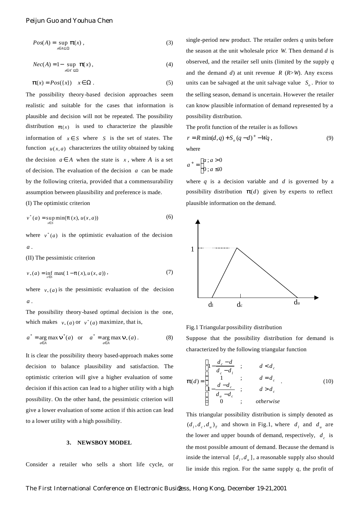$$
Pos(A) = \sup_{x \in A \subseteq \Omega} \mathbf{p}(x) ,
$$
 (3)

$$
Nec(A) = 1 - \sup_{x \in A^c \subseteq \Omega} p(x), \tag{4}
$$

$$
\boldsymbol{p}(x) = Pos(\lbrace x \rbrace) \quad x \in \Omega \; . \tag{5}
$$

The possibility theory-based decision approaches seem realistic and suitable for the cases that information is plausible and decision will not be repeated. The possibility distribution  $p(x)$  is used to characterize the plausible information of  $x \in S$  where *S* is the set of states. The function  $u(x, a)$  characterizes the utility obtained by taking the decision  $a \in A$  when the state is *x*, where *A* is a set of decision. The evaluation of the decision *a* can be made by the following criteria, provided that a commensurability assumption between plausibility and preference is made.

(I) The optimistic criterion

$$
v^*(a) = \sup_{x \in S} \min(\boldsymbol{p}(x), u(x, a))
$$
 (6)

where  $v^*(a)$  is the optimistic evaluation of the decision *a* .

(II) The pessimistic criterion

$$
v_*(a) = \inf_{x \in S} \max(1 - p(x), u(x, a)),
$$
 (7)

where  $v^*(a)$  is the pessimistic evaluation of the decision *a* .

The possibility theory-based optimal decision is the one, which makes  $v_*(a)$  or  $v^*(a)$  maximize, that is,

$$
a^* = \underset{a \in A}{\arg \max} \mathbf{n}^*(a) \quad \text{or} \quad a^* = \underset{a \in A}{\arg \max} \mathbf{n}_*(a) \,.
$$
 (8)

It is clear the possibility theory based-approach makes some decision to balance plausibility and satisfaction. The optimistic criterion will give a higher evaluation of some decision if this action can lead to a higher utility with a high possibility. On the other hand, the pessimistic criterion will give a lower evaluation of some action if this action can lead to a lower utility with a high possibility.

#### **3. NEWSBOY MODEL**

Consider a retailer who sells a short life cycle, or

single-period new product. The retailer orders *q* units before the season at the unit wholesale price *W*. Then demand *d* is observed, and the retailer sell units (limited by the supply *q*  and the demand *d*) at unit revenue *R* (*R*>*W*). Any excess units can be salvaged at the unit salvage value  $S<sub>o</sub>$ . Prior to the selling season, demand is uncertain. However the retailer can know plausible information of demand represented by a possibility distribution.

The profit function of the retailer is as follows

$$
r = R \min(d, q) + S_o (q - d)^+ - Wq , \qquad (9)
$$
  
where

$$
a^+ = \begin{cases} a \cdot a > 0 \\ 0 \cdot a \le 0 \end{cases}
$$

where  $q$  is a decision variable and  $d$  is governed by a possibility distribution  $p(d)$  given by experts to reflect plausible information on the demand.



Fig.1 Triangular possibility distribution

Suppose that the possibility distribution for demand is characterized by the following triangular function

$$
\boldsymbol{p}(d) = \begin{cases} 1 - \frac{d_c - d}{d_c - d_l} & ; & d < d_c \\ 1 & ; & d = d_c \\ 1 - \frac{d - d_c}{d_u - d_c} & ; & d > d_c \\ 0 & ; & otherwise \end{cases} \tag{10}
$$

This triangular possibility distribution is simply denoted as  $(d_i, d_c, d_u)_T$  and shown in Fig.1, where  $d_i$  and  $d_u$  are the lower and upper bounds of demand, respectively,  $d_c$  is the most possible amount of demand. Because the demand is inside the interval  $[d_1, d_u]$ , a reasonable supply also should lie inside this region. For the same supply *q*, the profit of